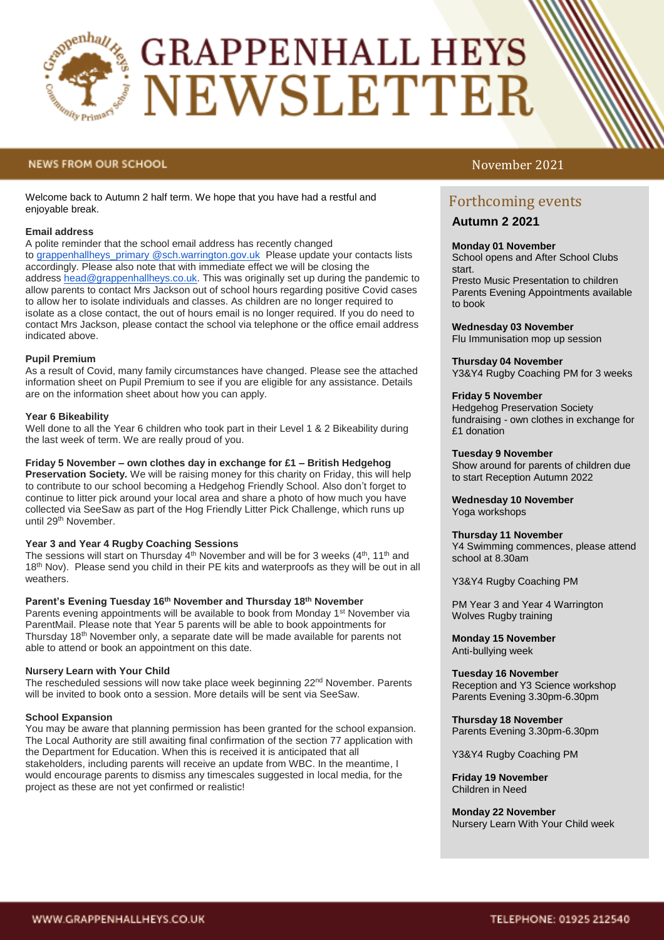

# **GRAPPENHALL HEYS NEWSLETTER**

### **NEWS FROM OUR SCHOOL**

Welcome back to Autumn 2 half term. We hope that you have had a restful and enjoyable break.

### **Email address**

A polite reminder that the school email address has recently changed to [grappenhallheys\\_primary @sch.warrington.gov.uk](mailto:grappenhallheys_primary_head@sch.warrington.gov.uk) Please update your contacts lists accordingly. Please also note that with immediate effect we will be closing the address [head@grappenhallheys.co.uk.](mailto:head@grappenhallheys.co.uk) This was originally set up during the pandemic to allow parents to contact Mrs Jackson out of school hours regarding positive Covid cases to allow her to isolate individuals and classes. As children are no longer required to isolate as a close contact, the out of hours email is no longer required. If you do need to contact Mrs Jackson, please contact the school via telephone or the office email address indicated above.

#### **Pupil Premium**

As a result of Covid, many family circumstances have changed. Please see the attached information sheet on Pupil Premium to see if you are eligible for any assistance. Details are on the information sheet about how you can apply.

#### **Year 6 Bikeability**

Well done to all the Year 6 children who took part in their Level 1 & 2 Bikeability during the last week of term. We are really proud of you.

#### **Friday 5 November – own clothes day in exchange for £1 – British Hedgehog**

**Preservation Society.** We will be raising money for this charity on Friday, this will help to contribute to our school becoming a Hedgehog Friendly School. Also don't forget to continue to litter pick around your local area and share a photo of how much you have collected via SeeSaw as part of the Hog Friendly Litter Pick Challenge, which runs up until 29th November.

#### **Year 3 and Year 4 Rugby Coaching Sessions**

The sessions will start on Thursday  $4<sup>th</sup>$  November and will be for 3 weeks ( $4<sup>th</sup>$ , 11<sup>th</sup> and 18<sup>th</sup> Nov). Please send you child in their PE kits and waterproofs as they will be out in all weathers.

#### **Parent's Evening Tuesday 16th November and Thursday 18th November**

Parents evening appointments will be available to book from Monday 1<sup>st</sup> November via ParentMail. Please note that Year 5 parents will be able to book appointments for Thursday 18th November only, a separate date will be made available for parents not able to attend or book an appointment on this date.

#### **Nursery Learn with Your Child**

The rescheduled sessions will now take place week beginning  $22<sup>nd</sup>$  November. Parents will be invited to book onto a session. More details will be sent via SeeSaw.

#### **School Expansion**

You may be aware that planning permission has been granted for the school expansion. The Local Authority are still awaiting final confirmation of the section 77 application with the Department for Education. When this is received it is anticipated that all stakeholders, including parents will receive an update from WBC. In the meantime, I would encourage parents to dismiss any timescales suggested in local media, for the project as these are not yet confirmed or realistic!

# November 2021

# Forthcoming events

**Autumn 2 2021**

#### **Monday 01 November**

School opens and After School Clubs start.

Presto Music Presentation to children Parents Evening Appointments available to book

#### **Wednesday 03 November**

Flu Immunisation mop up session

#### **Thursday 04 November**

Y3&Y4 Rugby Coaching PM for 3 weeks

#### **Friday 5 November**

Hedgehog Preservation Society fundraising - own clothes in exchange for £1 donation

#### **Tuesday 9 November**

Show around for parents of children due to start Reception Autumn 2022

**Wednesday 10 November** Yoga workshops

#### **Thursday 11 November**

Y4 Swimming commences, please attend school at 8.30am

Y3&Y4 Rugby Coaching PM

PM Year 3 and Year 4 Warrington Wolves Rugby training

**Monday 15 November** Anti-bullying week

**Tuesday 16 November**  Reception and Y3 Science workshop Parents Evening 3.30pm-6.30pm

**Thursday 18 November** Parents Evening 3.30pm-6.30pm

Y3&Y4 Rugby Coaching PM

**Friday 19 November**  Children in Need

## **Monday 22 November**

Nursery Learn With Your Child week